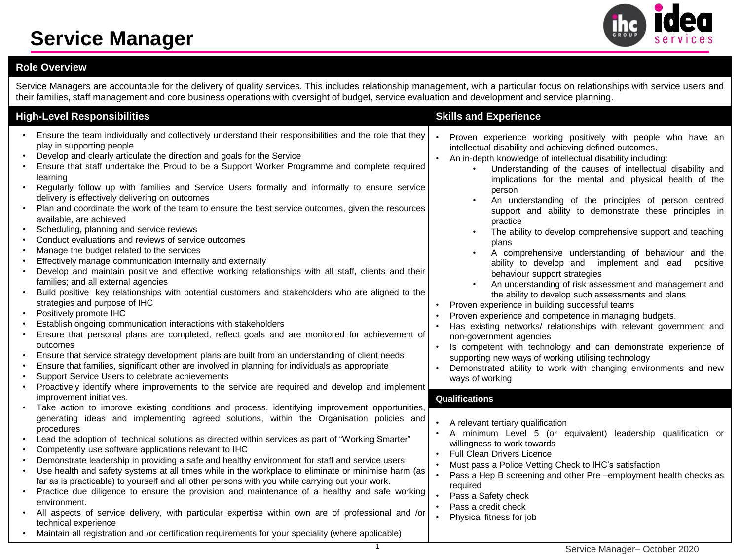### **Service Manager**



### **Role Overview**

Service Managers are accountable for the delivery of quality services. This includes relationship management, with a particular focus on relationships with service users and their families, staff management and core business operations with oversight of budget, service evaluation and development and service planning.

| <b>High-Level Responsibilities</b> |                                                                                                                                                                                                                                                                                                                                                                                                                                                                                                                                                                                                                                                                                                                                                                                                                                                                                                                                                                                                                                                                                                                                                                                                                                                                                                                                                                                                                                                                                                                                                                                |  | <b>Skills and Experience</b>                                                                                                                                                                                                                                                                                                                                                                                                                                                                                                                                                                                                                                                                                                                                                                                                                                                                                                                                                                                                                                                                                                                                                                                                      |  |  |
|------------------------------------|--------------------------------------------------------------------------------------------------------------------------------------------------------------------------------------------------------------------------------------------------------------------------------------------------------------------------------------------------------------------------------------------------------------------------------------------------------------------------------------------------------------------------------------------------------------------------------------------------------------------------------------------------------------------------------------------------------------------------------------------------------------------------------------------------------------------------------------------------------------------------------------------------------------------------------------------------------------------------------------------------------------------------------------------------------------------------------------------------------------------------------------------------------------------------------------------------------------------------------------------------------------------------------------------------------------------------------------------------------------------------------------------------------------------------------------------------------------------------------------------------------------------------------------------------------------------------------|--|-----------------------------------------------------------------------------------------------------------------------------------------------------------------------------------------------------------------------------------------------------------------------------------------------------------------------------------------------------------------------------------------------------------------------------------------------------------------------------------------------------------------------------------------------------------------------------------------------------------------------------------------------------------------------------------------------------------------------------------------------------------------------------------------------------------------------------------------------------------------------------------------------------------------------------------------------------------------------------------------------------------------------------------------------------------------------------------------------------------------------------------------------------------------------------------------------------------------------------------|--|--|
|                                    | Ensure the team individually and collectively understand their responsibilities and the role that they<br>play in supporting people<br>Develop and clearly articulate the direction and goals for the Service<br>Ensure that staff undertake the Proud to be a Support Worker Programme and complete required<br>learning<br>Regularly follow up with families and Service Users formally and informally to ensure service<br>delivery is effectively delivering on outcomes<br>Plan and coordinate the work of the team to ensure the best service outcomes, given the resources<br>available, are achieved<br>Scheduling, planning and service reviews<br>Conduct evaluations and reviews of service outcomes<br>Manage the budget related to the services<br>Effectively manage communication internally and externally<br>Develop and maintain positive and effective working relationships with all staff, clients and their<br>families; and all external agencies<br>Build positive key relationships with potential customers and stakeholders who are aligned to the<br>strategies and purpose of IHC<br>Positively promote IHC<br>Establish ongoing communication interactions with stakeholders<br>Ensure that personal plans are completed, reflect goals and are monitored for achievement of<br>outcomes<br>Ensure that service strategy development plans are built from an understanding of client needs<br>Ensure that families, significant other are involved in planning for individuals as appropriate<br>Support Service Users to celebrate achievements |  | Proven experience working positively with people who have an<br>intellectual disability and achieving defined outcomes.<br>An in-depth knowledge of intellectual disability including:<br>Understanding of the causes of intellectual disability and<br>implications for the mental and physical health of the<br>person<br>An understanding of the principles of person centred<br>support and ability to demonstrate these principles in<br>practice<br>The ability to develop comprehensive support and teaching<br>plans<br>A comprehensive understanding of behaviour and the<br>$\bullet$<br>ability to develop and implement and lead<br>positive<br>behaviour support strategies<br>An understanding of risk assessment and management and<br>the ability to develop such assessments and plans<br>Proven experience in building successful teams<br>Proven experience and competence in managing budgets.<br>Has existing networks/ relationships with relevant government and<br>non-government agencies<br>Is competent with technology and can demonstrate experience of<br>supporting new ways of working utilising technology<br>Demonstrated ability to work with changing environments and new<br>ways of working |  |  |
|                                    | Proactively identify where improvements to the service are required and develop and implement<br>improvement initiatives.                                                                                                                                                                                                                                                                                                                                                                                                                                                                                                                                                                                                                                                                                                                                                                                                                                                                                                                                                                                                                                                                                                                                                                                                                                                                                                                                                                                                                                                      |  | Qualifications                                                                                                                                                                                                                                                                                                                                                                                                                                                                                                                                                                                                                                                                                                                                                                                                                                                                                                                                                                                                                                                                                                                                                                                                                    |  |  |
|                                    | Take action to improve existing conditions and process, identifying improvement opportunities,<br>generating ideas and implementing agreed solutions, within the Organisation policies and<br>procedures<br>Lead the adoption of technical solutions as directed within services as part of "Working Smarter"<br>Competently use software applications relevant to IHC<br>Demonstrate leadership in providing a safe and healthy environment for staff and service users<br>Use health and safety systems at all times while in the workplace to eliminate or minimise harm (as<br>far as is practicable) to yourself and all other persons with you while carrying out your work.<br>Practice due diligence to ensure the provision and maintenance of a healthy and safe working<br>environment.<br>All aspects of service delivery, with particular expertise within own are of professional and /or<br>technical experience<br>Maintain all registration and /or certification requirements for your speciality (where applicable)                                                                                                                                                                                                                                                                                                                                                                                                                                                                                                                                         |  | A relevant tertiary qualification<br>A minimum Level 5 (or equivalent) leadership qualification or<br>willingness to work towards<br>Full Clean Drivers Licence<br>Must pass a Police Vetting Check to IHC's satisfaction<br>Pass a Hep B screening and other Pre -employment health checks as<br>required<br>Pass a Safety check<br>Pass a credit check<br>Physical fitness for job                                                                                                                                                                                                                                                                                                                                                                                                                                                                                                                                                                                                                                                                                                                                                                                                                                              |  |  |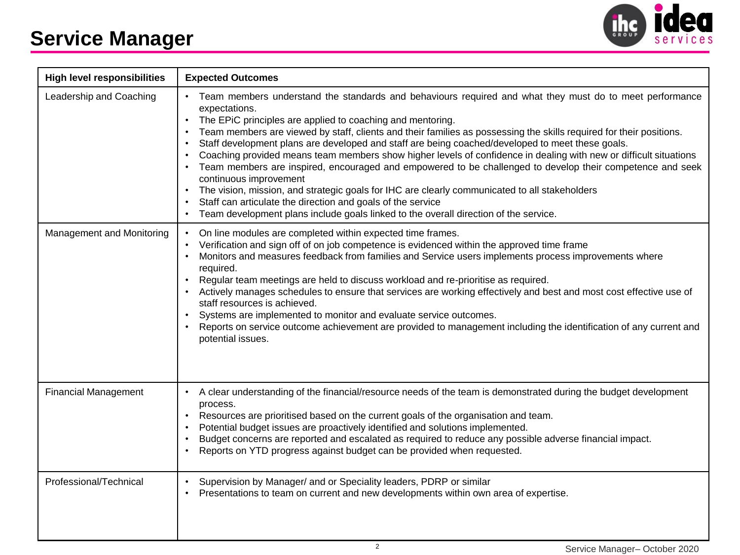## **Service Manager**



| <b>High level responsibilities</b> | <b>Expected Outcomes</b>                                                                                                                                                                                                                                                                                                                                                                                                                                                                                                                                                                                                                                                                                                                                                                                                                                                                                                                                                                    |  |  |  |  |
|------------------------------------|---------------------------------------------------------------------------------------------------------------------------------------------------------------------------------------------------------------------------------------------------------------------------------------------------------------------------------------------------------------------------------------------------------------------------------------------------------------------------------------------------------------------------------------------------------------------------------------------------------------------------------------------------------------------------------------------------------------------------------------------------------------------------------------------------------------------------------------------------------------------------------------------------------------------------------------------------------------------------------------------|--|--|--|--|
| Leadership and Coaching            | • Team members understand the standards and behaviours required and what they must do to meet performance<br>expectations.<br>The EPiC principles are applied to coaching and mentoring.<br>Team members are viewed by staff, clients and their families as possessing the skills required for their positions.<br>$\bullet$<br>Staff development plans are developed and staff are being coached/developed to meet these goals.<br>$\bullet$<br>Coaching provided means team members show higher levels of confidence in dealing with new or difficult situations<br>$\bullet$<br>Team members are inspired, encouraged and empowered to be challenged to develop their competence and seek<br>continuous improvement<br>The vision, mission, and strategic goals for IHC are clearly communicated to all stakeholders<br>Staff can articulate the direction and goals of the service<br>Team development plans include goals linked to the overall direction of the service.<br>$\bullet$ |  |  |  |  |
| Management and Monitoring          | On line modules are completed within expected time frames.<br>$\bullet$<br>Verification and sign off of on job competence is evidenced within the approved time frame<br>$\bullet$<br>Monitors and measures feedback from families and Service users implements process improvements where<br>$\bullet$<br>required.<br>Regular team meetings are held to discuss workload and re-prioritise as required.<br>$\bullet$<br>Actively manages schedules to ensure that services are working effectively and best and most cost effective use of<br>staff resources is achieved.<br>Systems are implemented to monitor and evaluate service outcomes.<br>Reports on service outcome achievement are provided to management including the identification of any current and<br>potential issues.                                                                                                                                                                                                 |  |  |  |  |
| <b>Financial Management</b>        | A clear understanding of the financial/resource needs of the team is demonstrated during the budget development<br>process.<br>Resources are prioritised based on the current goals of the organisation and team.<br>Potential budget issues are proactively identified and solutions implemented.<br>$\bullet$<br>Budget concerns are reported and escalated as required to reduce any possible adverse financial impact.<br>$\bullet$<br>Reports on YTD progress against budget can be provided when requested.<br>$\bullet$                                                                                                                                                                                                                                                                                                                                                                                                                                                              |  |  |  |  |
| Professional/Technical             | Supervision by Manager/ and or Speciality leaders, PDRP or similar<br>$\bullet$<br>Presentations to team on current and new developments within own area of expertise.<br>$\bullet$                                                                                                                                                                                                                                                                                                                                                                                                                                                                                                                                                                                                                                                                                                                                                                                                         |  |  |  |  |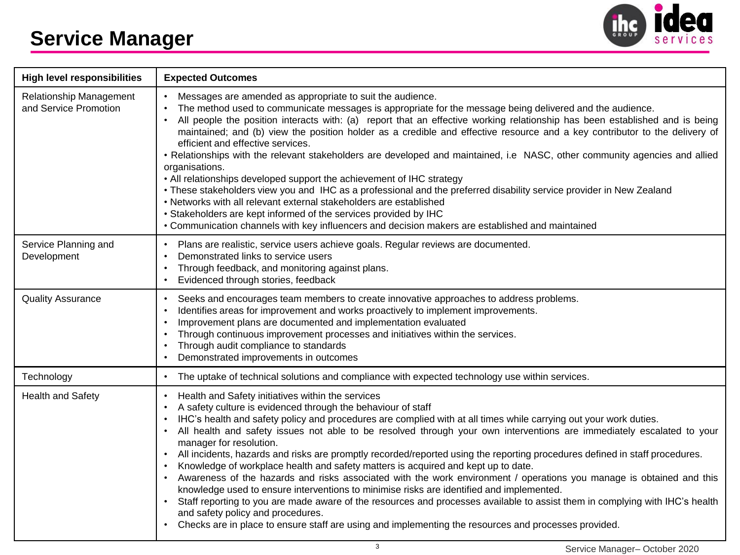

| <b>High level responsibilities</b>               | <b>Expected Outcomes</b>                                                                                                                                                                                                                                                                                                                                                                                                                                                                                                                                                                                                                                                                                                                                                                                                                                                                                                                                                                                                                                                                                                       |  |  |  |  |
|--------------------------------------------------|--------------------------------------------------------------------------------------------------------------------------------------------------------------------------------------------------------------------------------------------------------------------------------------------------------------------------------------------------------------------------------------------------------------------------------------------------------------------------------------------------------------------------------------------------------------------------------------------------------------------------------------------------------------------------------------------------------------------------------------------------------------------------------------------------------------------------------------------------------------------------------------------------------------------------------------------------------------------------------------------------------------------------------------------------------------------------------------------------------------------------------|--|--|--|--|
| Relationship Management<br>and Service Promotion | Messages are amended as appropriate to suit the audience.<br>The method used to communicate messages is appropriate for the message being delivered and the audience.<br>All people the position interacts with: (a) report that an effective working relationship has been established and is being<br>maintained; and (b) view the position holder as a credible and effective resource and a key contributor to the delivery of<br>efficient and effective services.<br>• Relationships with the relevant stakeholders are developed and maintained, i.e NASC, other community agencies and allied<br>organisations.<br>• All relationships developed support the achievement of IHC strategy<br>• These stakeholders view you and IHC as a professional and the preferred disability service provider in New Zealand<br>• Networks with all relevant external stakeholders are established<br>• Stakeholders are kept informed of the services provided by IHC<br>• Communication channels with key influencers and decision makers are established and maintained                                                         |  |  |  |  |
| Service Planning and<br>Development              | • Plans are realistic, service users achieve goals. Regular reviews are documented.<br>Demonstrated links to service users<br>Through feedback, and monitoring against plans.<br>Evidenced through stories, feedback                                                                                                                                                                                                                                                                                                                                                                                                                                                                                                                                                                                                                                                                                                                                                                                                                                                                                                           |  |  |  |  |
| <b>Quality Assurance</b>                         | Seeks and encourages team members to create innovative approaches to address problems.<br>$\bullet$<br>Identifies areas for improvement and works proactively to implement improvements.<br>Improvement plans are documented and implementation evaluated<br>Through continuous improvement processes and initiatives within the services.<br>Through audit compliance to standards<br>Demonstrated improvements in outcomes                                                                                                                                                                                                                                                                                                                                                                                                                                                                                                                                                                                                                                                                                                   |  |  |  |  |
| Technology                                       | • The uptake of technical solutions and compliance with expected technology use within services.                                                                                                                                                                                                                                                                                                                                                                                                                                                                                                                                                                                                                                                                                                                                                                                                                                                                                                                                                                                                                               |  |  |  |  |
| Health and Safety                                | Health and Safety initiatives within the services<br>$\bullet$<br>A safety culture is evidenced through the behaviour of staff<br>IHC's health and safety policy and procedures are complied with at all times while carrying out your work duties.<br>All health and safety issues not able to be resolved through your own interventions are immediately escalated to your<br>manager for resolution.<br>All incidents, hazards and risks are promptly recorded/reported using the reporting procedures defined in staff procedures.<br>Knowledge of workplace health and safety matters is acquired and kept up to date.<br>• Awareness of the hazards and risks associated with the work environment / operations you manage is obtained and this<br>knowledge used to ensure interventions to minimise risks are identified and implemented.<br>Staff reporting to you are made aware of the resources and processes available to assist them in complying with IHC's health<br>and safety policy and procedures.<br>Checks are in place to ensure staff are using and implementing the resources and processes provided. |  |  |  |  |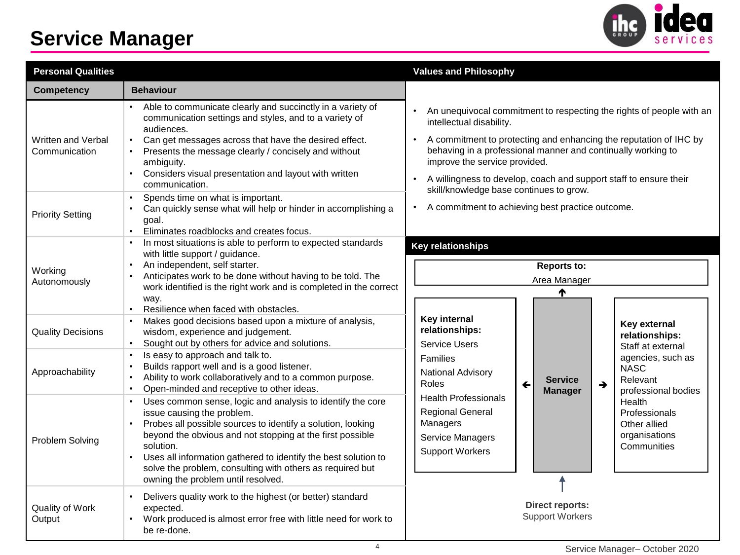## **Service Manager**



| <b>Personal Qualities</b>           |                                                                                                                                                                                                                                                                                                                                                                                                                     | <b>Values and Philosophy</b>                                                                                                                                                                                                                                                                                                                                                           |  |  |  |  |
|-------------------------------------|---------------------------------------------------------------------------------------------------------------------------------------------------------------------------------------------------------------------------------------------------------------------------------------------------------------------------------------------------------------------------------------------------------------------|----------------------------------------------------------------------------------------------------------------------------------------------------------------------------------------------------------------------------------------------------------------------------------------------------------------------------------------------------------------------------------------|--|--|--|--|
| <b>Competency</b>                   | <b>Behaviour</b>                                                                                                                                                                                                                                                                                                                                                                                                    |                                                                                                                                                                                                                                                                                                                                                                                        |  |  |  |  |
| Written and Verbal<br>Communication | Able to communicate clearly and succinctly in a variety of<br>communication settings and styles, and to a variety of<br>audiences.<br>Can get messages across that have the desired effect.<br>Presents the message clearly / concisely and without<br>ambiguity.<br>Considers visual presentation and layout with written<br>communication.                                                                        | An unequivocal commitment to respecting the rights of people with an<br>intellectual disability.<br>A commitment to protecting and enhancing the reputation of IHC by<br>behaving in a professional manner and continually working to<br>improve the service provided.<br>A willingness to develop, coach and support staff to ensure their<br>skill/knowledge base continues to grow. |  |  |  |  |
| <b>Priority Setting</b>             | Spends time on what is important.<br>$\bullet$<br>Can quickly sense what will help or hinder in accomplishing a<br>$\bullet$<br>goal.<br>Eliminates roadblocks and creates focus.<br>$\bullet$                                                                                                                                                                                                                      | A commitment to achieving best practice outcome.                                                                                                                                                                                                                                                                                                                                       |  |  |  |  |
| Working<br>Autonomously             | In most situations is able to perform to expected standards<br>$\bullet$<br>with little support / guidance.<br>An independent, self starter.<br>$\bullet$<br>Anticipates work to be done without having to be told. The<br>$\bullet$<br>work identified is the right work and is completed in the correct<br>way.                                                                                                   | <b>Key relationships</b><br><b>Reports to:</b><br>Area Manager<br>₼                                                                                                                                                                                                                                                                                                                    |  |  |  |  |
| <b>Quality Decisions</b>            | Resilience when faced with obstacles.<br>$\bullet$<br>Makes good decisions based upon a mixture of analysis,<br>$\bullet$<br>wisdom, experience and judgement.<br>Sought out by others for advice and solutions.<br>$\bullet$                                                                                                                                                                                       | <b>Key internal</b><br>Key external<br>relationships:<br>relationships:<br><b>Service Users</b><br>Staff at external                                                                                                                                                                                                                                                                   |  |  |  |  |
| Approachability                     | Is easy to approach and talk to.<br>$\bullet$<br>Builds rapport well and is a good listener.<br>Ability to work collaboratively and to a common purpose.<br>$\bullet$<br>Open-minded and receptive to other ideas.<br>$\bullet$                                                                                                                                                                                     | agencies, such as<br>Families<br><b>NASC</b><br>National Advisory<br>Relevant<br><b>Service</b><br>Roles<br>$\leftarrow$<br>→<br>professional bodies<br><b>Manager</b>                                                                                                                                                                                                                 |  |  |  |  |
| Problem Solving                     | Uses common sense, logic and analysis to identify the core<br>$\bullet$<br>issue causing the problem.<br>Probes all possible sources to identify a solution, looking<br>beyond the obvious and not stopping at the first possible<br>solution.<br>Uses all information gathered to identify the best solution to<br>solve the problem, consulting with others as required but<br>owning the problem until resolved. | <b>Health Professionals</b><br>Health<br><b>Regional General</b><br>Professionals<br>Managers<br>Other allied<br>organisations<br>Service Managers<br>Communities<br><b>Support Workers</b>                                                                                                                                                                                            |  |  |  |  |
| Quality of Work<br>Output           | Delivers quality work to the highest (or better) standard<br>expected.<br>Work produced is almost error free with little need for work to<br>be re-done.                                                                                                                                                                                                                                                            | <b>Direct reports:</b><br><b>Support Workers</b>                                                                                                                                                                                                                                                                                                                                       |  |  |  |  |